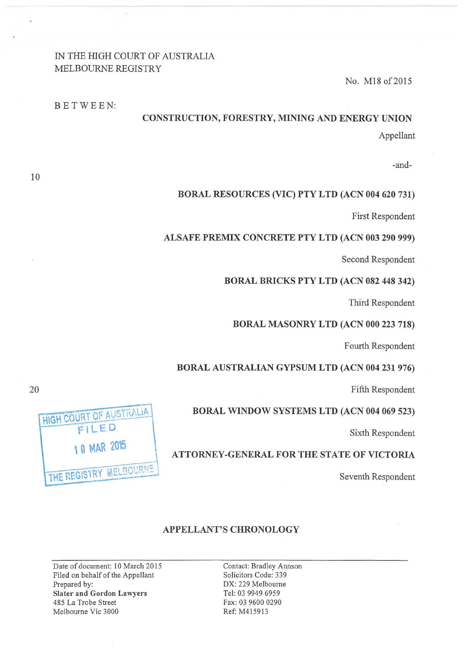# IN THE HIGH COURT OF AUSTRALIA MELBOURNE REGISTRY

BETWEEN:

No. M18 of 2015

# CONSTRUCTION, FORESTRY, MINING AND ENERGY UNION Appellant

-and-

# BORAL RESOURCES (VIC) PTY LTD (ACN 004 620 731)

First Respondent

# ALSAFE PREMIX CONCRETE PTY LTD (ACN 003 290 999)

Second Respondent

### BORAL BRICKS PTY LTD (ACN 082 448 342)

Third Respondent

# BORAL MASONRY LTD (ACN 000 223 718)

Fourth Respondent

#### BORAL AUSTRALIAN GYPSUM LTD (ACN 004 231 976)

Fifth Respondent

### BORAL WINDOW SYSTEMS LTD (ACN 004 069 523)

Sixth Respondent

ATTORNEY-GENERAL FOR THE STATE OF VICTORIA

Seventh Respondent

# APPELLANT'S CHRONOLOGY

Date of document: 10 March 2015 Filed on behalf of the Appellant Prepared by: Slater and Gordon Lawyers 485 La Trobe Street Melbourne Vic 3000

Contact: Bradley Annson Solicitors Code: 339 DX: 229 Melbourne Tel: 03 9949 6959 Fax: 03 9600 0290 Ref: M4159 13

HIGH COURT OF AUSTRALIA FILED \0 MAR 20\5 THE REGISTRY MELBOURNE

10

20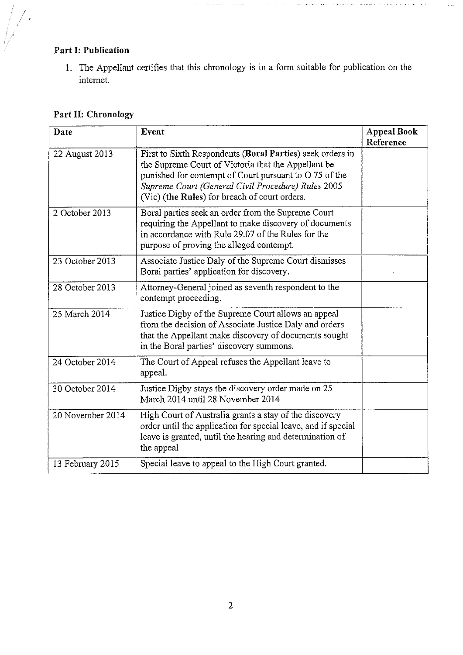# **Part I: Publication**

]. The Appellant certifies that this chronology is in a form suitable for publication on the internet.

# **Part II: Chronology**

| Date             | Event                                                                                                                                                                                                                                                                             | <b>Appeal Book</b><br>Reference |
|------------------|-----------------------------------------------------------------------------------------------------------------------------------------------------------------------------------------------------------------------------------------------------------------------------------|---------------------------------|
| 22 August 2013   | First to Sixth Respondents (Boral Parties) seek orders in<br>the Supreme Court of Victoria that the Appellant be<br>punished for contempt of Court pursuant to O 75 of the<br>Supreme Court (General Civil Procedure) Rules 2005<br>(Vic) (the Rules) for breach of court orders. |                                 |
| 2 October 2013   | Boral parties seek an order from the Supreme Court<br>requiring the Appellant to make discovery of documents<br>in accordance with Rule 29.07 of the Rules for the<br>purpose of proving the alleged contempt.                                                                    |                                 |
| 23 October 2013  | Associate Justice Daly of the Supreme Court dismisses<br>Boral parties' application for discovery.                                                                                                                                                                                |                                 |
| 28 October 2013  | Attorney-General joined as seventh respondent to the<br>contempt proceeding.                                                                                                                                                                                                      |                                 |
| 25 March 2014    | Justice Digby of the Supreme Court allows an appeal<br>from the decision of Associate Justice Daly and orders<br>that the Appellant make discovery of documents sought<br>in the Boral parties' discovery summons.                                                                |                                 |
| 24 October 2014  | The Court of Appeal refuses the Appellant leave to<br>appeal.                                                                                                                                                                                                                     |                                 |
| 30 October 2014  | Justice Digby stays the discovery order made on 25<br>March 2014 until 28 November 2014                                                                                                                                                                                           |                                 |
| 20 November 2014 | High Court of Australia grants a stay of the discovery<br>order until the application for special leave, and if special<br>leave is granted, until the hearing and determination of<br>the appeal                                                                                 |                                 |
| 13 February 2015 | Special leave to appeal to the High Court granted.                                                                                                                                                                                                                                |                                 |